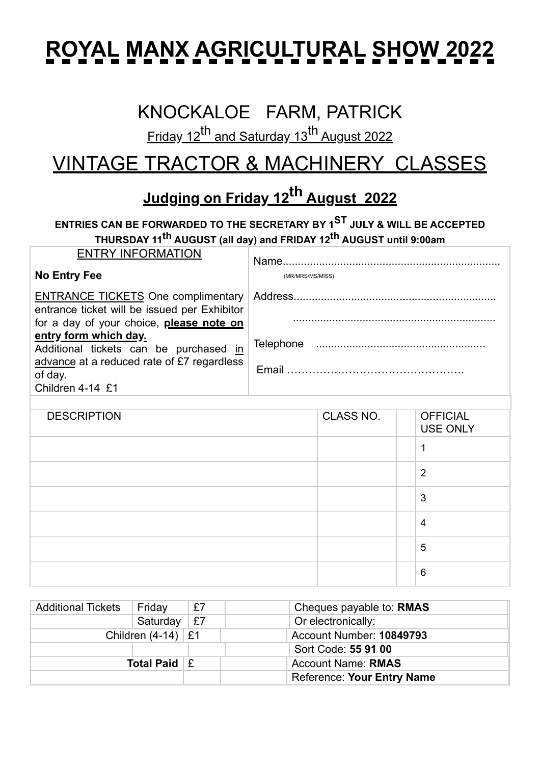## **ROYAL MANX AGRICULTURAL SHOW 2022**

#### KNOCKALOE FARM, PATRICK

Friday 12<sup>th</sup> and Saturday 13<sup>th</sup> August 2022

### VINTAGE TRACTOR & MACHINERY CLASSES

#### **Judging on Friday 12th August 2022**

#### **ENTRIES CAN BE FORWARDED TO THE SECRETARY BY 1ST JULY & WILL BE ACCEPTED THURSDAY 11th AUGUST (all day) and FRIDAY 12th AUGUST until 9:00am**

| <b>ENTRY INFORMATION</b><br>No Entry Fee                                                                                                                                                                                                                                              | (MR/MRS/MS/MISS) |
|---------------------------------------------------------------------------------------------------------------------------------------------------------------------------------------------------------------------------------------------------------------------------------------|------------------|
| <b>ENTRANCE TICKETS One complimentary</b><br>entrance ticket will be issued per Exhibitor<br>for a day of your choice, please note on<br>entry form which day.<br>Additional tickets can be purchased in<br>advance at a reduced rate of £7 regardless<br>of day.<br>Children 4-14 £1 |                  |
|                                                                                                                                                                                                                                                                                       |                  |

| <b>DESCRIPTION</b> | CLASS NO. | <b>OFFICIAL</b><br><b>USE ONLY</b> |
|--------------------|-----------|------------------------------------|
|                    |           |                                    |
|                    |           | $\overline{2}$                     |
|                    |           | 3                                  |
|                    |           | $\overline{4}$                     |
|                    |           | 5                                  |
|                    |           | $6\phantom{1}6$                    |

| <b>Additional Tickets</b> | Friday                            | £7 | Cheques payable to: RMAS          |
|---------------------------|-----------------------------------|----|-----------------------------------|
|                           | Saturday                          | £7 | Or electronically:                |
|                           | Children $(4-14)$ $\mathsf{\&} 1$ |    | Account Number: 10849793          |
|                           |                                   |    | Sort Code: 55 91 00               |
| Total Paid $E$            |                                   |    | <b>Account Name: RMAS</b>         |
|                           |                                   |    | <b>Reference: Your Entry Name</b> |